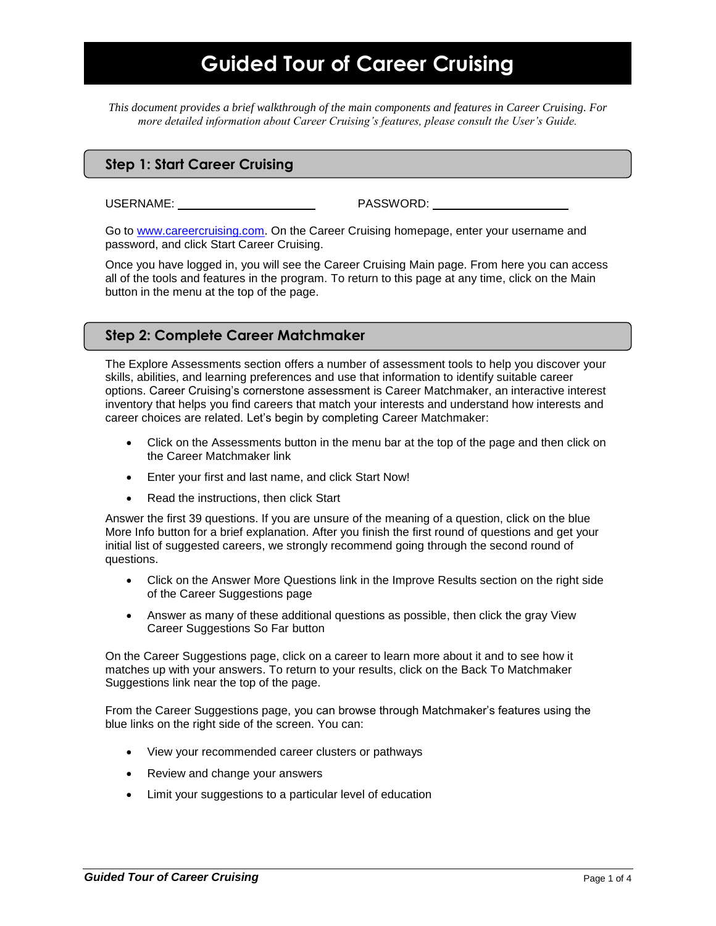*This document provides a brief walkthrough of the main components and features in Career Cruising. For more detailed information about Career Cruising's features, please consult the User's Guide.*

### **Step 1: Start Career Cruising**

USERNAME: PASSWORD:

Go to [www.careercruising.com.](http://www.careercruising.com/) On the Career Cruising homepage, enter your username and password, and click Start Career Cruising.

Once you have logged in, you will see the Career Cruising Main page. From here you can access all of the tools and features in the program. To return to this page at any time, click on the Main button in the menu at the top of the page.

### **Step 2: Complete Career Matchmaker**

The Explore Assessments section offers a number of assessment tools to help you discover your skills, abilities, and learning preferences and use that information to identify suitable career options. Career Cruising's cornerstone assessment is Career Matchmaker, an interactive interest inventory that helps you find careers that match your interests and understand how interests and career choices are related. Let's begin by completing Career Matchmaker:

- Click on the Assessments button in the menu bar at the top of the page and then click on the Career Matchmaker link
- Enter your first and last name, and click Start Now!
- Read the instructions, then click Start

Answer the first 39 questions. If you are unsure of the meaning of a question, click on the blue More Info button for a brief explanation. After you finish the first round of questions and get your initial list of suggested careers, we strongly recommend going through the second round of questions.

- Click on the Answer More Questions link in the Improve Results section on the right side of the Career Suggestions page
- Answer as many of these additional questions as possible, then click the gray View Career Suggestions So Far button

On the Career Suggestions page, click on a career to learn more about it and to see how it matches up with your answers. To return to your results, click on the Back To Matchmaker Suggestions link near the top of the page.

From the Career Suggestions page, you can browse through Matchmaker's features using the blue links on the right side of the screen. You can:

- View your recommended career clusters or pathways
- Review and change your answers
- Limit your suggestions to a particular level of education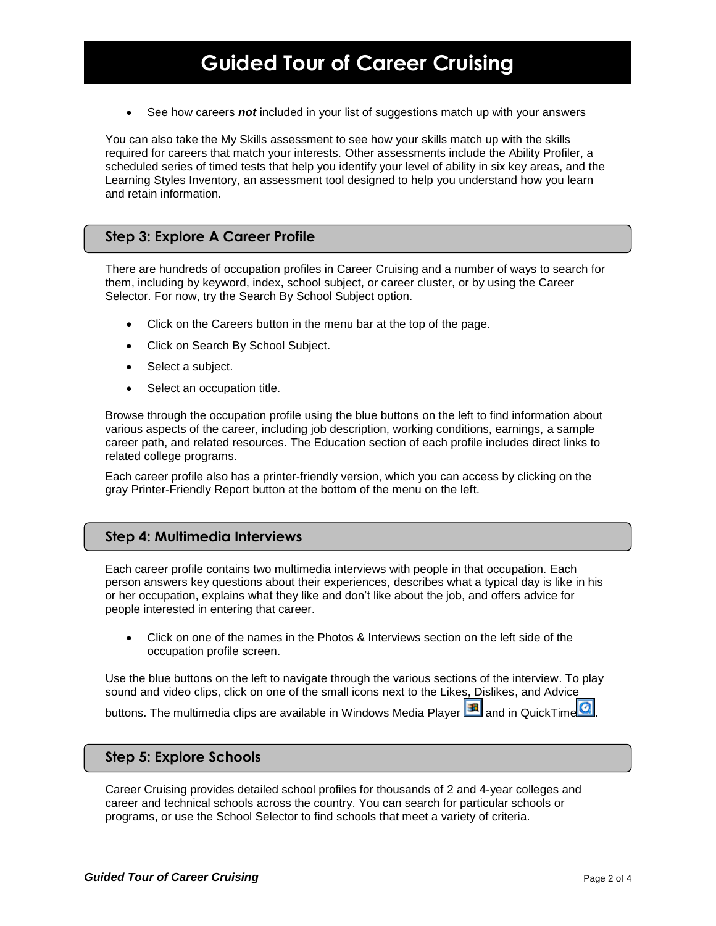See how careers *not* included in your list of suggestions match up with your answers

You can also take the My Skills assessment to see how your skills match up with the skills required for careers that match your interests. Other assessments include the Ability Profiler, a scheduled series of timed tests that help you identify your level of ability in six key areas, and the Learning Styles Inventory, an assessment tool designed to help you understand how you learn and retain information.

#### **Step 3: Explore A Career Profile**

There are hundreds of occupation profiles in Career Cruising and a number of ways to search for them, including by keyword, index, school subject, or career cluster, or by using the Career Selector. For now, try the Search By School Subject option.

- Click on the Careers button in the menu bar at the top of the page.
- Click on Search By School Subject.
- Select a subject.
- Select an occupation title.

Browse through the occupation profile using the blue buttons on the left to find information about various aspects of the career, including job description, working conditions, earnings, a sample career path, and related resources. The Education section of each profile includes direct links to related college programs.

Each career profile also has a printer-friendly version, which you can access by clicking on the gray Printer-Friendly Report button at the bottom of the menu on the left.

#### **Step 4: Multimedia Interviews**

Each career profile contains two multimedia interviews with people in that occupation. Each person answers key questions about their experiences, describes what a typical day is like in his or her occupation, explains what they like and don't like about the job, and offers advice for people interested in entering that career.

 Click on one of the names in the Photos & Interviews section on the left side of the occupation profile screen.

Use the blue buttons on the left to navigate through the various sections of the interview. To play sound and video clips, click on one of the small icons next to the Likes, Dislikes, and Advice buttons. The multimedia clips are available in Windows Media Player  $\boxed{3}$  and in QuickTime  $\boxed{2}$ 

#### **Step 5: Explore Schools**

Career Cruising provides detailed school profiles for thousands of 2 and 4-year colleges and career and technical schools across the country. You can search for particular schools or programs, or use the School Selector to find schools that meet a variety of criteria.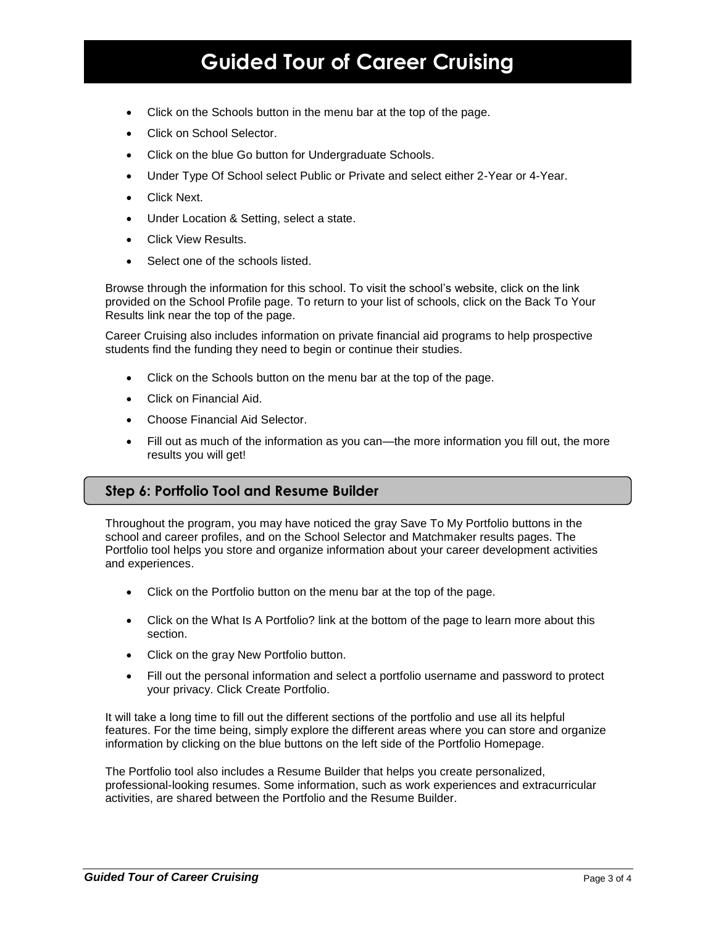- Click on the Schools button in the menu bar at the top of the page.
- Click on School Selector.
- Click on the blue Go button for Undergraduate Schools.
- Under Type Of School select Public or Private and select either 2-Year or 4-Year.
- Click Next.
- Under Location & Setting, select a state.
- Click View Results.
- Select one of the schools listed.

Browse through the information for this school. To visit the school's website, click on the link provided on the School Profile page. To return to your list of schools, click on the Back To Your Results link near the top of the page.

Career Cruising also includes information on private financial aid programs to help prospective students find the funding they need to begin or continue their studies.

- Click on the Schools button on the menu bar at the top of the page.
- Click on Financial Aid.
- Choose Financial Aid Selector.
- Fill out as much of the information as you can—the more information you fill out, the more results you will get!

### **Step 6: Portfolio Tool and Resume Builder**

Throughout the program, you may have noticed the gray Save To My Portfolio buttons in the school and career profiles, and on the School Selector and Matchmaker results pages. The Portfolio tool helps you store and organize information about your career development activities and experiences.

- Click on the Portfolio button on the menu bar at the top of the page.
- Click on the What Is A Portfolio? link at the bottom of the page to learn more about this section.
- Click on the gray New Portfolio button.
- Fill out the personal information and select a portfolio username and password to protect your privacy. Click Create Portfolio.

It will take a long time to fill out the different sections of the portfolio and use all its helpful features. For the time being, simply explore the different areas where you can store and organize information by clicking on the blue buttons on the left side of the Portfolio Homepage.

The Portfolio tool also includes a Resume Builder that helps you create personalized, professional-looking resumes. Some information, such as work experiences and extracurricular activities, are shared between the Portfolio and the Resume Builder.